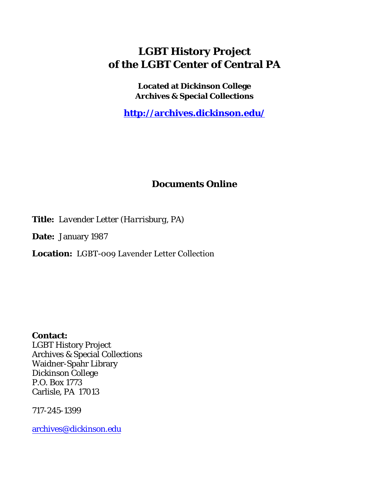## **LGBT History Project of the LGBT Center of Central PA**

**Located at Dickinson College Archives & Special Collections**

**<http://archives.dickinson.edu/>**

## **Documents Online**

**Title:** *Lavender Letter (Harrisburg, PA)*

**Date:** January 1987

**Location:** LGBT-009 Lavender Letter Collection

**Contact:**  LGBT History Project Archives & Special Collections Waidner-Spahr Library Dickinson College P.O. Box 1773 Carlisle, PA 17013

717-245-1399

[archives@dickinson.edu](mailto:archives@dickinson.edu)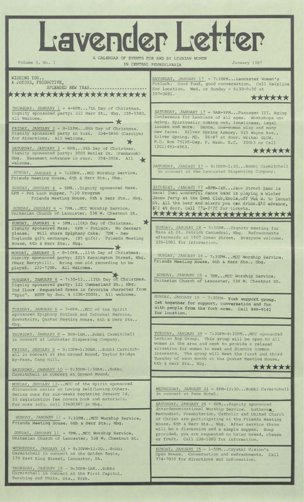Lavender Letter A CALENDAR OF EVENTS FOR AND BY LESBIAN WOMEN Volume 5, No. 1 IN CENTRAL PENNSYLVANIA January 1987 WISHING YOU.. SATURDAY, JANUARY 17 - 7:30PM...Lancaster Women's A JOYOUS, PRODUCTIVE, Potluck. Good food, good conversation. Call Helpline SPLENDED NEW YEAR........ for location. Wed. or Sunday - 6:30-9:30 at 397-0691. \*\*\*\*\*\*\*\*\*\*\*\*\*\*\*\*\*\*\*\*\*\* **<sup>397</sup>'0691'** ★★★★★★  $THURSDAY$ , JANUARY  $1 - 4-8$ PM...7th Day of Christmas. SATURDAY, JANUARY 17 - 9AM-9PM...Passages III, Aging Dignity sponsored party: 222 Herr St., Hbg. 238-5380. All Welcome. Conference for Lesbians of all ages. Workshops on: Aging, Spiritually coming out, loneliness, legal<br>issues and more. Dance, one-woman play and many Dance, one-woman play and many FRIDAY, JANUARY 2 - 8-llPM...8th Day of Christmas. new faces. Silver Spring Armory, 925 Wayne Ave., Dignity sponsored party in York. 234-5850 (Carolyn) Silver Spring, MD. \$6-\$7 at door. Write: GLOW, for directions. All welcome \* P.O. Box 75195-Dep. P, Wash. D.C. 20013 or Call (301) 493-4963. SATURDAY, JANUARY 3 - 8PM...9th Day of Christmas. ★★★★★★ Dignity sponsored party: 3005 Butler St. (Penbrook) Hbg. Basement entrance in rear. 234-2024. All ★ SATURDAY, JANUARY 17 - 9:30PM-1:30...Bobbi Carmitchell in concert at the Lancaster Dispensing Company. SUNDAY, JANUARY 4 - 7:30PM...MCC Worship Service, Friends Meeting House, 6th & Herr Sts., Hbg. SUNDAY, JANUARY 4 - 5PM...Dignity sponsored Mass. SATURDAY, JANUARY <sup>17</sup> -8PM-2AM...Jane Street Band is back! That wonderful dance band is playing a Winter 6PM - Pot Luck supper, 7:30 Program Dance Party at the Demi Club, Enola, off 944 W. to Lucust Friends Meeting House, 6th & Herr Sts., Hbg. St. All the beer and mixers you can drink.\$10 advance,<br>\$12 at door. Call 77h-7178 for tickets. \$12 at door. Call 774-7178 for tickets.<br>\*\*\*\*\*\*\*\*\*\*\*\*\*\*\*\*\*\*\*\*\*\*\*\*\*\*\* SUNDAY, JANUARY 4 - 7PM. . .MCC Worship Service, Unitarian Church of Lancaster, 538 W. Chestnut St. SUNDAY, JANUARY 4 - 5PM...10th Day of Christmas. \* SUNDAY, JANUARY 18 - 5:30PM...Dignity meeting for Dignity sponsored Mass. 6PM - Potluck. No dessert Mass at St. Patrick Cathedral, Hbg. Refreshments<br>afterwards at 1507 Green Street. Everyone welcome. please. Will share Epiphany Cake. 7PM - New afterwards at 1507 Green Street. Englands gift exchange. (\$5 gift). Friends Meeting 236-1081 for information. House, 6th & Herr Sts., Hbg. MONDAY, JANUARY 5 - 8-10PM...11th Day of Christmas.<br>Dignity sponsored party: 2215 Kensington Street, Hb SUNDAY, JANUARY 18- 7:30PM...MCC Worship Service. sponsored party: 2215 Kensington Street, Hbg. Friends Meeting House, 6th & Herr Sts., Hbg. (Near Berryhill). Bring one old recording to be played. 232-7298. All Welcome. TUESDAY, JANUARY 6 - 7:30-12...12th Day of Christmas. SUNDAY, JANUARY 18 - 7PM...MCC Worship Service, Unitarian Church of Lancaster, 538 W. Chestnut St. Dignity sponsored party: 122 Cumberland St., Hbg. 2nd floor Requested dress in favorite character from "Epic". RSVP by Jan. 4 (236-2005). All welcome. SUNDAY, JANUARY 19 - 7:30PM- York support group. Get together for support, conversation and fun with people from the York area. Call 848-9142 TUESDAY, JANUARY 6 - 7-9PM...MCC of the Spirit for location. sponsored Epiphany Potluck and Informal Service, downstairs, Quaker Meeting House, 6th & Herr Sts., Hbg. TUESDAY, JANUARY 20 - 7:30PM-9:30PM...MCC sponsored THURSDAY, JANUARY 8 - 9PM-1AM...Bobbi Carmitchell in concert at Lancaster Dispensing Company. Lesbian Rap Group. This group will be open to all women in the area and seek to provide a relaxed FRIDAY, JANUARY 9 - 9:30PM-1:30AM...Bobbi Carmitchsituation for women to meet and discuss common interests. The group will meet the first and third ell in concert at the Ground Round, Taylor Bridge By-Pass, Camp Hill. Tuesday of each month at the Quaker Meeting House, 6th & Herr Sts., Hbg. **A A A A A A** SATURDAY, JANUARY 10 - 9:30PM-1:30AM-- Bobbi Carmitchell in concert at Ground Round. MONDAY, JANUARY 12... MCC of the Spirit sponsored discussion series on Loving Self/Loving Others. WEDNESDAY, JANUARY 21 - 9PM-12:30...Bobbi Carmitchell Series runs for six-weeks beginning January 14. in concert at Penn Hotel. \$5 registration fee covers book and materials. SATURDAY, JANUARY 24 - 4PM...Dignity sponsored<br>Interdenominational Worship Service. Lutheran, For more info, call 23607387 in Hbg. Interdenominational Worship Service. Methodist, Presbyterian, Catholic and United Church SUNDAY, JANUARY 11 \_ 7:30PM...MCC Worship Service, of Christ are participating at the Friends Meeting Friends Meeting House, 6th & Herr Sts., Hbg. House, 6th & Herr Sts., Hbg. After service there will be a discussion and a simple supper. Soup SUNDAY, JANUARY 11 - 7PM...MCC Worship Service, provided, you are requested to bring bread, cheese or fruit. Call 238-5380 for information. Unitarian Church of Lancaster, 538 W. Chestnut St WEDNESDAY, JANUARY 14 -8:30PM-12:00...Bobbi SUNDAY, JANUARY 25 - 1-5PM...Crystal Vision's Carmitchell in concert at the Golden Eagle, Open House. Conversation and refreshments. Call 170 East King Street, Lancaster, PA. 774-7030 for directions and information.THURSDAY, JANUARY 15 - 9:30PM-1AM...Bobbi Carmitchell in concert at the First Capitol, Pershing and Phila. Sts., York.